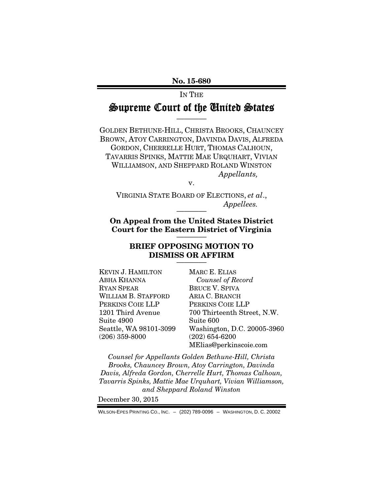No. 15-680

IN THE

## Supreme Court of the United States ————

GOLDEN BETHUNE-HILL, CHRISTA BROOKS, CHAUNCEY BROWN, ATOY CARRINGTON, DAVINDA DAVIS, ALFREDA GORDON, CHERRELLE HURT, THOMAS CALHOUN, TAVARRIS SPINKS, MATTIE MAE URQUHART, VIVIAN WILLIAMSON, AND SHEPPARD ROLAND WINSTON *Appellants,* 

v.

VIRGINIA STATE BOARD OF ELECTIONS, *et al*.,  $Appelles.$ 

On Appeal from the United States District Court for the Eastern District of Virginia

#### BRIEF OPPOSING MOTION TO DISMISS OR AFFIRM ————

KEVIN J. HAMILTON ABHA KHANNA RYAN SPEAR WILLIAM B. STAFFORD PERKINS COIE LLP 1201 Third Avenue Suite 4900 Seattle, WA 98101-3099 (206) 359-8000

MARC E. ELIAS *Counsel of Record*  BRUCE V. SPIVA ARIA C. BRANCH PERKINS COIE LLP 700 Thirteenth Street, N.W. Suite 600 Washington, D.C. 20005-3960 (202) 654-6200 MElias@perkinscoie.com

*Counsel for Appellants Golden Bethune-Hill, Christa Brooks, Chauncey Brown, Atoy Carrington, Davinda Davis, Alfreda Gordon, Cherrelle Hurt, Thomas Calhoun, Tavarris Spinks, Mattie Mae Urquhart, Vivian Williamson, and Sheppard Roland Winston* 

December 30, 2015

WILSON-EPES PRINTING CO., INC. – (202) 789-0096 – WASHINGTON, D. C. 20002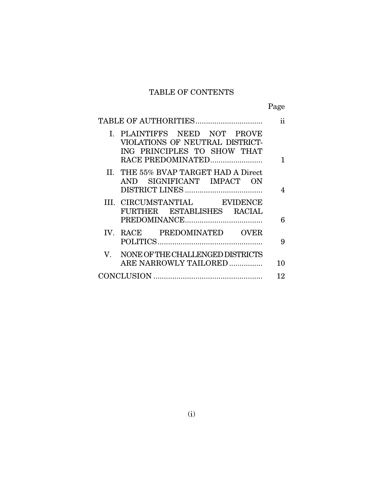# TABLE OF CONTENTS

Page

|                                                                                                                     | 11 |
|---------------------------------------------------------------------------------------------------------------------|----|
| I. PLAINTIFFS NEED NOT PROVE<br>VIOLATIONS OF NEUTRAL DISTRICT-<br>ING PRINCIPLES TO SHOW THAT<br>RACE PREDOMINATED | 1  |
| II. THE 55% BVAP TARGET HAD A Direct<br>AND SIGNIFICANT IMPACT ON                                                   | 4  |
| III. CIRCUMSTANTIAL EVIDENCE<br>FURTHER ESTABLISHES RACIAL                                                          | 6  |
| IV. RACE PREDOMINATED OVER                                                                                          | 9  |
| NONE OF THE CHALLENGED DISTRICTS<br>V.<br>ARE NARROWLY TAILORED                                                     | 10 |
|                                                                                                                     | 12 |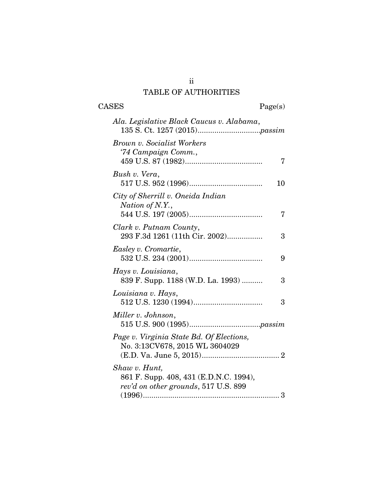## ii TABLE OF AUTHORITIES

# CASES Page(s)

| Ala. Legislative Black Caucus v. Alabama,                                                       |
|-------------------------------------------------------------------------------------------------|
| Brown v. Socialist Workers<br>'74 Campaign Comm.,<br>7                                          |
| Bush v. Vera,<br>10                                                                             |
| City of Sherrill v. Oneida Indian<br>Nation of N.Y.,<br>7                                       |
| Clark v. Putnam County,<br>293 F.3d 1261 (11th Cir. 2002)<br>3                                  |
| Easley v. Cromartie,<br>9                                                                       |
| Hays v. Louisiana,<br>839 F. Supp. 1188 (W.D. La. 1993)<br>3                                    |
| Louisiana v. Hays,<br>3                                                                         |
| Miller v. Johnson,                                                                              |
| Page v. Virginia State Bd. Of Elections,<br>No. 3:13CV678, 2015 WL 3604029                      |
| Shaw v. Hunt,<br>861 F. Supp. 408, 431 (E.D.N.C. 1994),<br>rev'd on other grounds, 517 U.S. 899 |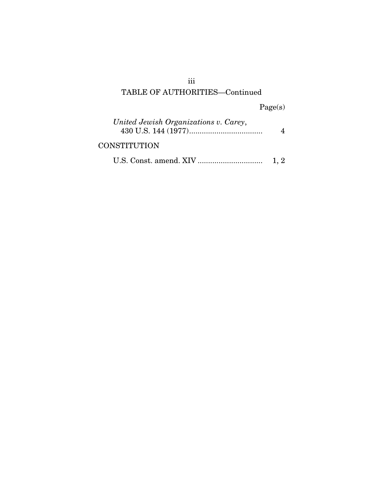## iii TABLE OF AUTHORITIES—Continued

Page(s)

| United Jewish Organizations v. Carey, |  |
|---------------------------------------|--|
| <b>CONSTITUTION</b>                   |  |

|--|--|--|--|--|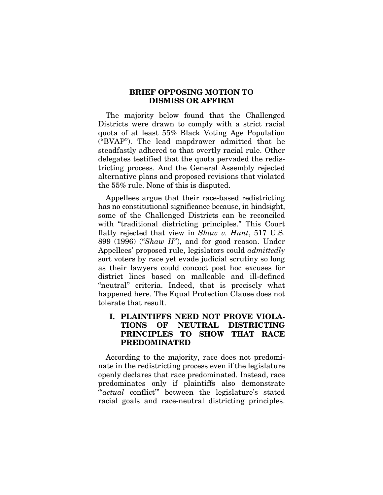#### BRIEF OPPOSING MOTION TO DISMISS OR AFFIRM

The majority below found that the Challenged Districts were drawn to comply with a strict racial quota of at least 55% Black Voting Age Population ("BVAP"). The lead mapdrawer admitted that he steadfastly adhered to that overtly racial rule. Other delegates testified that the quota pervaded the redistricting process. And the General Assembly rejected alternative plans and proposed revisions that violated the 55% rule. None of this is disputed.

Appellees argue that their race-based redistricting has no constitutional significance because, in hindsight, some of the Challenged Districts can be reconciled with "traditional districting principles." This Court flatly rejected that view in *Shaw v. Hunt*, 517 U.S. 899 (1996) ("*Shaw II*"), and for good reason. Under Appellees' proposed rule, legislators could *admittedly* sort voters by race yet evade judicial scrutiny so long as their lawyers could concoct post hoc excuses for district lines based on malleable and ill-defined "neutral" criteria. Indeed, that is precisely what happened here. The Equal Protection Clause does not tolerate that result.

### I. PLAINTIFFS NEED NOT PROVE VIOLA-TIONS OF NEUTRAL DISTRICTING PRINCIPLES TO SHOW THAT RACE PREDOMINATED

According to the majority, race does not predominate in the redistricting process even if the legislature openly declares that race predominated. Instead, race predominates only if plaintiffs also demonstrate '"*actual* conflict'" between the legislature's stated racial goals and race-neutral districting principles.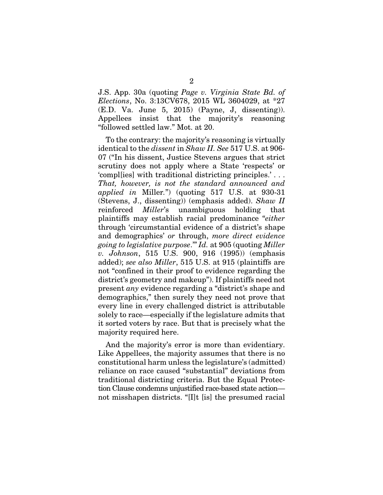J.S. App. 30a (quoting *Page v. Virginia State Bd. of Elections*, No. 3:13CV678, 2015 WL 3604029, at \*27 (E.D. Va. June 5, 2015) (Payne, J, dissenting)). Appellees insist that the majority's reasoning "followed settled law." Mot. at 20.

To the contrary: the majority's reasoning is virtually identical to the *dissent* in *Shaw II. See* 517 U.S. at 906- 07 ("In his dissent, Justice Stevens argues that strict scrutiny does not apply where a State 'respects' or 'compl[ies] with traditional districting principles.' . . . *That, however, is not the standard announced and applied in* Miller*.*") (quoting 517 U.S. at 930-31 (Stevens, J., dissenting)) (emphasis added). *Shaw II*  reinforced *Miller*'s unambiguous holding that plaintiffs may establish racial predominance "*either* through 'circumstantial evidence of a district's shape and demographics' *or* through, *more direct evidence going to legislative purpose*.'" *Id.* at 905 (quoting *Miller v. Johnson*, 515 U.S. 900, 916 (1995)) (emphasis added); *see also Miller*, 515 U.S. at 915 (plaintiffs are not "confined in their proof to evidence regarding the district's geometry and makeup"). If plaintiffs need not present *any* evidence regarding a "district's shape and demographics," then surely they need not prove that every line in every challenged district is attributable solely to race—especially if the legislature admits that it sorted voters by race. But that is precisely what the majority required here.

And the majority's error is more than evidentiary. Like Appellees, the majority assumes that there is no constitutional harm unless the legislature's (admitted) reliance on race caused "substantial" deviations from traditional districting criteria. But the Equal Protection Clause condemns unjustified race-based state action not misshapen districts. "[I]t [is] the presumed racial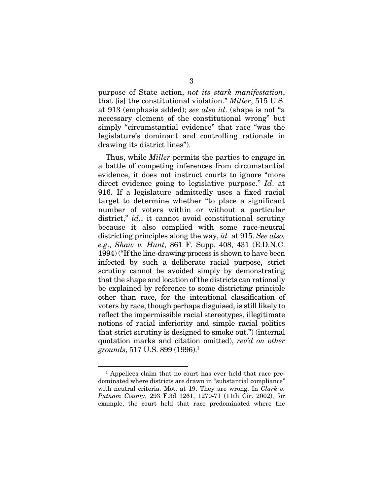purpose of State action, *not its stark manifestation*, that [is] the constitutional violation." *Miller*, 515 U.S. at 913 (emphasis added); *see also id*. (shape is not "a necessary element of the constitutional wrong" but simply "circumstantial evidence" that race "was the legislature's dominant and controlling rationale in drawing its district lines").

Thus, while *Miller* permits the parties to engage in a battle of competing inferences from circumstantial evidence, it does not instruct courts to ignore "more direct evidence going to legislative purpose." *Id*. at 916. If a legislature admittedly uses a fixed racial target to determine whether "to place a significant number of voters within or without a particular district," *id.*, it cannot avoid constitutional scrutiny because it also complied with some race-neutral districting principles along the way, *id.* at 915. *See also, e.g*., *Shaw v. Hunt*, 861 F. Supp. 408, 431 (E.D.N.C. 1994) ("If the line-drawing process is shown to have been infected by such a deliberate racial purpose, strict scrutiny cannot be avoided simply by demonstrating that the shape and location of the districts can rationally be explained by reference to some districting principle other than race, for the intentional classification of voters by race, though perhaps disguised, is still likely to reflect the impermissible racial stereotypes, illegitimate notions of racial inferiority and simple racial politics that strict scrutiny is designed to smoke out.") (internal quotation marks and citation omitted), *rev'd on other grounds*, 517 U.S. 899 (1996).1

<sup>&</sup>lt;sup>1</sup> Appellees claim that no court has ever held that race predominated where districts are drawn in "substantial compliance" with neutral criteria. Mot. at 19. They are wrong. In *Clark v. Putnam County*, 293 F.3d 1261, 1270-71 (11th Cir. 2002), for example, the court held that race predominated where the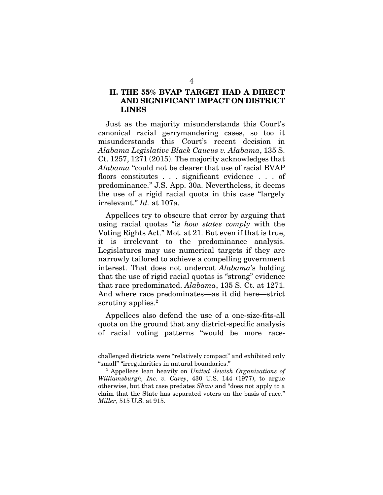#### II. THE 55% BVAP TARGET HAD A DIRECT AND SIGNIFICANT IMPACT ON DISTRICT LINES

Just as the majority misunderstands this Court's canonical racial gerrymandering cases, so too it misunderstands this Court's recent decision in *Alabama Legislative Black Caucus v. Alabama*, 135 S. Ct. 1257, 1271 (2015). The majority acknowledges that *Alabama* "could not be clearer that use of racial BVAP floors constitutes . . . significant evidence . . . of predominance." J.S. App. 30a. Nevertheless, it deems the use of a rigid racial quota in this case "largely irrelevant." *Id.* at 107a.

Appellees try to obscure that error by arguing that using racial quotas "is *how states comply* with the Voting Rights Act." Mot. at 21. But even if that is true, it is irrelevant to the predominance analysis. Legislatures may use numerical targets if they are narrowly tailored to achieve a compelling government interest. That does not undercut *Alabama*'s holding that the use of rigid racial quotas is "strong" evidence that race predominated. *Alabama*, 135 S. Ct. at 1271. And where race predominates—as it did here—strict scrutiny applies.<sup>2</sup>

Appellees also defend the use of a one-size-fits-all quota on the ground that any district-specific analysis of racial voting patterns "would be more race-

challenged districts were "relatively compact" and exhibited only "small" "irregularities in natural boundaries." 2

Appellees lean heavily on *United Jewish Organizations of Williamsburgh, Inc. v. Carey*, 430 U.S. 144 (1977), to argue otherwise, but that case predates *Shaw* and "does not apply to a claim that the State has separated voters on the basis of race." *Miller*, 515 U.S. at 915.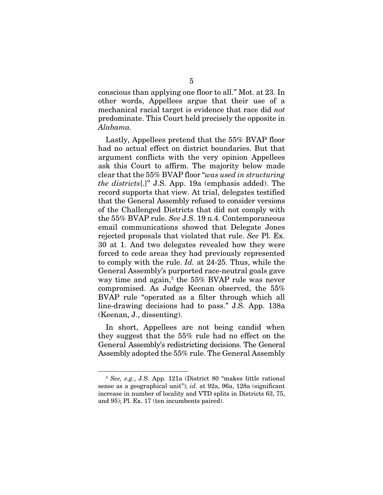conscious than applying one floor to all." Mot. at 23. In other words, Appellees argue that their use of a mechanical racial target is evidence that race did *not*  predominate. This Court held precisely the opposite in *Alabama.*

Lastly, Appellees pretend that the 55% BVAP floor had no actual effect on district boundaries. But that argument conflicts with the very opinion Appellees ask this Court to affirm. The majority below made clear that the 55% BVAP floor "*was used in structuring the districts*[.]" J.S. App. 19a (emphasis added). The record supports that view. At trial, delegates testified that the General Assembly refused to consider versions of the Challenged Districts that did not comply with the 55% BVAP rule. *See* J.S. 19 n.4. Contemporaneous email communications showed that Delegate Jones rejected proposals that violated that rule. *See* Pl. Ex. 30 at 1. And two delegates revealed how they were forced to cede areas they had previously represented to comply with the rule. *Id.* at 24-25. Thus, while the General Assembly's purported race-neutral goals gave way time and again,3 the 55% BVAP rule was never compromised. As Judge Keenan observed, the 55% BVAP rule "operated as a filter through which all line-drawing decisions had to pass." J.S. App. 138a (Keenan, J., dissenting).

In short, Appellees are not being candid when they suggest that the 55% rule had no effect on the General Assembly's redistricting decisions. The General Assembly adopted the 55% rule. The General Assembly

<sup>3</sup> *See, e.g.*, J.S. App. 121a (District 80 "makes little rational sense as a geographical unit"); *id*. at 92a, 96a, 128a (significant increase in number of locality and VTD splits in Districts 63, 75, and 95); Pl. Ex. 17 (ten incumbents paired).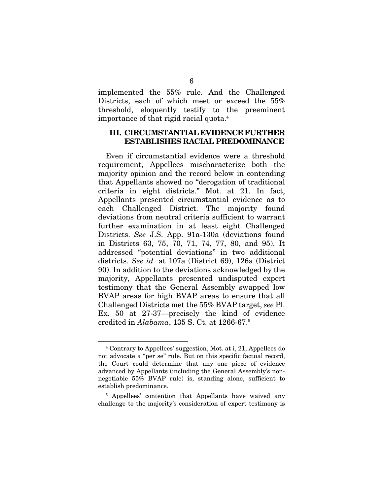implemented the 55% rule. And the Challenged Districts, each of which meet or exceed the 55% threshold, eloquently testify to the preeminent importance of that rigid racial quota.4

#### III. CIRCUMSTANTIAL EVIDENCE FURTHER ESTABLISHES RACIAL PREDOMINANCE

Even if circumstantial evidence were a threshold requirement, Appellees mischaracterize both the majority opinion and the record below in contending that Appellants showed no "derogation of traditional criteria in eight districts." Mot. at 21. In fact, Appellants presented circumstantial evidence as to each Challenged District. The majority found deviations from neutral criteria sufficient to warrant further examination in at least eight Challenged Districts. *See* J.S. App. 91a-130a (deviations found in Districts 63, 75, 70, 71, 74, 77, 80, and 95). It addressed "potential deviations" in two additional districts. *See id.* at 107a (District 69), 126a (District 90). In addition to the deviations acknowledged by the majority, Appellants presented undisputed expert testimony that the General Assembly swapped low BVAP areas for high BVAP areas to ensure that all Challenged Districts met the 55% BVAP target, *see* Pl. Ex. 50 at 27-37—precisely the kind of evidence credited in *Alabama*, 135 S. Ct. at 1266-67.5

<sup>4</sup> Contrary to Appellees' suggestion, Mot. at i, 21, Appellees do not advocate a "per se" rule. But on this specific factual record, the Court could determine that any one piece of evidence advanced by Appellants (including the General Assembly's nonnegotiable 55% BVAP rule) is, standing alone, sufficient to establish predominance.

<sup>&</sup>lt;sup>5</sup> Appellees' contention that Appellants have waived any challenge to the majority's consideration of expert testimony is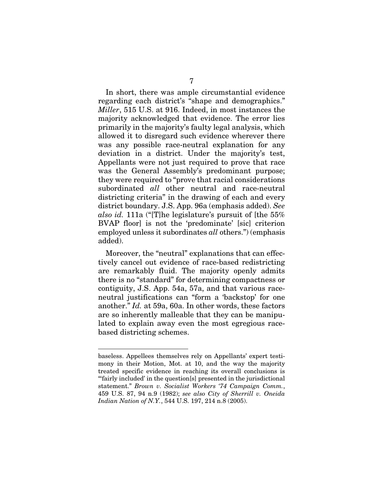In short, there was ample circumstantial evidence regarding each district's "shape and demographics." *Miller*, 515 U.S. at 916. Indeed, in most instances the majority acknowledged that evidence. The error lies primarily in the majority's faulty legal analysis, which allowed it to disregard such evidence wherever there was any possible race-neutral explanation for any deviation in a district. Under the majority's test, Appellants were not just required to prove that race was the General Assembly's predominant purpose; they were required to "prove that racial considerations subordinated *all* other neutral and race-neutral districting criteria" in the drawing of each and every district boundary. J.S. App. 96a (emphasis added). *See also id.* 111a ("[T]he legislature's pursuit of [the 55% BVAP floor] is not the 'predominate' [sic] criterion employed unless it subordinates *all* others.") (emphasis added).

Moreover, the "neutral" explanations that can effectively cancel out evidence of race-based redistricting are remarkably fluid. The majority openly admits there is no "standard" for determining compactness or contiguity, J.S. App. 54a, 57a, and that various raceneutral justifications can "form a 'backstop' for one another." *Id.* at 59a, 60a. In other words, these factors are so inherently malleable that they can be manipulated to explain away even the most egregious racebased districting schemes.

baseless. Appellees themselves rely on Appellants' expert testimony in their Motion, Mot. at 10, and the way the majority treated specific evidence in reaching its overall conclusions is "'fairly included' in the question[s] presented in the jurisdictional statement." *Brown v. Socialist Workers '74 Campaign Comm.*, 459 U.S. 87, 94 n.9 (1982); *see also City of Sherrill v. Oneida Indian Nation of N.Y.*, 544 U.S. 197, 214 n.8 (2005).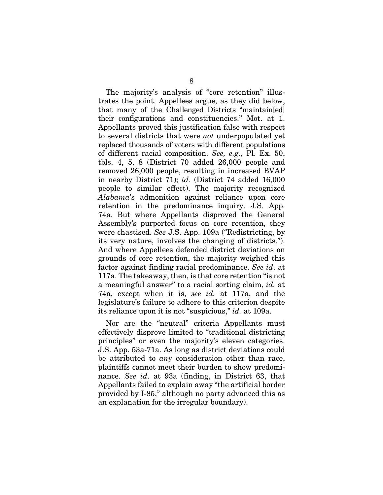The majority's analysis of "core retention" illustrates the point. Appellees argue, as they did below, that many of the Challenged Districts "maintain[ed] their configurations and constituencies." Mot. at 1. Appellants proved this justification false with respect to several districts that were *not* underpopulated yet replaced thousands of voters with different populations of different racial composition. *See, e.g.*, Pl. Ex. 50, tbls. 4, 5, 8 (District 70 added 26,000 people and removed 26,000 people, resulting in increased BVAP in nearby District 71); *id.* (District 74 added 16,000 people to similar effect). The majority recognized *Alabama*'s admonition against reliance upon core retention in the predominance inquiry. J.S. App. 74a. But where Appellants disproved the General Assembly's purported focus on core retention, they were chastised. *See* J.S. App. 109a ("Redistricting, by its very nature, involves the changing of districts."). And where Appellees defended district deviations on grounds of core retention, the majority weighed this factor against finding racial predominance. *See id*. at 117a. The takeaway, then, is that core retention "is not a meaningful answer" to a racial sorting claim, *id.* at 74a, except when it is, *see id.* at 117a, and the legislature's failure to adhere to this criterion despite its reliance upon it is not "suspicious," *id.* at 109a.

Nor are the "neutral" criteria Appellants must effectively disprove limited to "traditional districting principles" or even the majority's eleven categories. J.S. App. 53a-71a. As long as district deviations could be attributed to *any* consideration other than race, plaintiffs cannot meet their burden to show predominance. *See id*. at 93a (finding, in District 63, that Appellants failed to explain away "the artificial border provided by I-85," although no party advanced this as an explanation for the irregular boundary).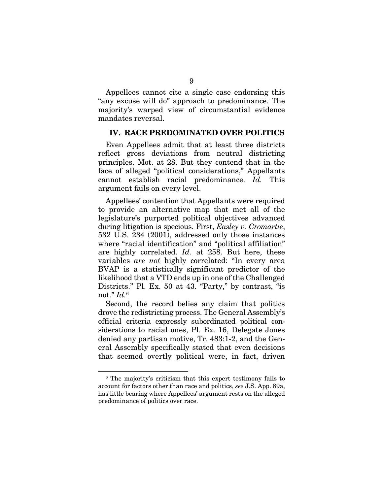Appellees cannot cite a single case endorsing this "any excuse will do" approach to predominance. The majority's warped view of circumstantial evidence mandates reversal.

#### IV. RACE PREDOMINATED OVER POLITICS

Even Appellees admit that at least three districts reflect gross deviations from neutral districting principles. Mot. at 28. But they contend that in the face of alleged "political considerations," Appellants cannot establish racial predominance. *Id.* This argument fails on every level.

Appellees' contention that Appellants were required to provide an alternative map that met all of the legislature's purported political objectives advanced during litigation is specious. First, *Easley v. Cromartie*, 532 U.S. 234 (2001), addressed only those instances where "racial identification" and "political affiliation" are highly correlated. *Id*. at 258. But here, these variables *are not* highly correlated: "In every area BVAP is a statistically significant predictor of the likelihood that a VTD ends up in one of the Challenged Districts." Pl. Ex. 50 at 43. "Party," by contrast, "is not." *Id.*<sup>6</sup>

Second, the record belies any claim that politics drove the redistricting process. The General Assembly's official criteria expressly subordinated political considerations to racial ones, Pl. Ex. 16, Delegate Jones denied any partisan motive, Tr. 483:1-2, and the General Assembly specifically stated that even decisions that seemed overtly political were, in fact, driven

<sup>6</sup> The majority's criticism that this expert testimony fails to account for factors other than race and politics, *see* J.S. App. 89a, has little bearing where Appellees' argument rests on the alleged predominance of politics over race.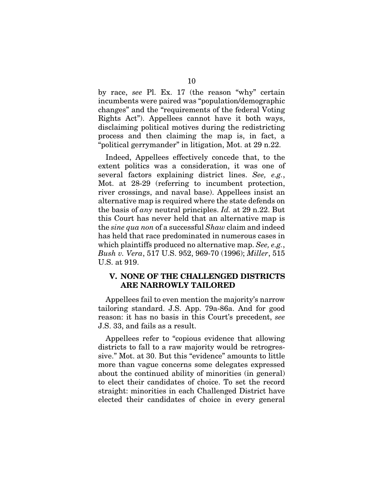by race, *see* Pl. Ex. 17 (the reason "why" certain incumbents were paired was "population/demographic changes" and the "requirements of the federal Voting Rights Act"). Appellees cannot have it both ways, disclaiming political motives during the redistricting process and then claiming the map is, in fact, a "political gerrymander" in litigation, Mot. at 29 n.22.

Indeed, Appellees effectively concede that, to the extent politics was a consideration, it was one of several factors explaining district lines. *See, e.g.*, Mot. at 28-29 (referring to incumbent protection, river crossings, and naval base). Appellees insist an alternative map is required where the state defends on the basis of *any* neutral principles. *Id.* at 29 n.22. But this Court has never held that an alternative map is the *sine qua non* of a successful *Shaw* claim and indeed has held that race predominated in numerous cases in which plaintiffs produced no alternative map. *See, e.g.*, *Bush v. Vera*, 517 U.S. 952, 969-70 (1996); *Miller*, 515 U.S. at 919.

#### V. NONE OF THE CHALLENGED DISTRICTS ARE NARROWLY TAILORED

Appellees fail to even mention the majority's narrow tailoring standard. J.S. App. 79a-86a. And for good reason: it has no basis in this Court's precedent, *see*  J.S. 33, and fails as a result.

Appellees refer to "copious evidence that allowing districts to fall to a raw majority would be retrogressive." Mot. at 30. But this "evidence" amounts to little more than vague concerns some delegates expressed about the continued ability of minorities (in general) to elect their candidates of choice. To set the record straight: minorities in each Challenged District have elected their candidates of choice in every general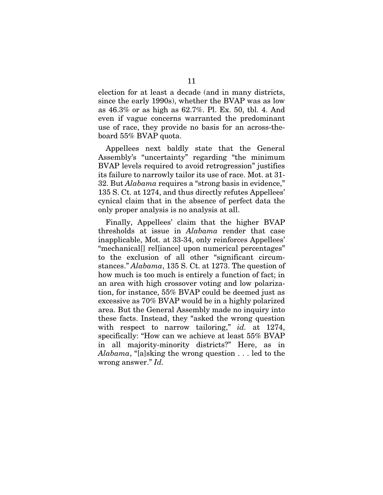election for at least a decade (and in many districts, since the early 1990s), whether the BVAP was as low as 46.3% or as high as 62.7%. Pl. Ex. 50, tbl. 4. And even if vague concerns warranted the predominant use of race, they provide no basis for an across-theboard 55% BVAP quota.

Appellees next baldly state that the General Assembly's "uncertainty" regarding "the minimum BVAP levels required to avoid retrogression" justifies its failure to narrowly tailor its use of race. Mot. at 31- 32. But *Alabama* requires a "strong basis in evidence," 135 S. Ct. at 1274, and thus directly refutes Appellees' cynical claim that in the absence of perfect data the only proper analysis is no analysis at all.

Finally, Appellees' claim that the higher BVAP thresholds at issue in *Alabama* render that case inapplicable, Mot. at 33-34, only reinforces Appellees' "mechanical[] rel[iance] upon numerical percentages" to the exclusion of all other "significant circumstances." *Alabama*, 135 S. Ct. at 1273. The question of how much is too much is entirely a function of fact; in an area with high crossover voting and low polarization, for instance, 55% BVAP could be deemed just as excessive as 70% BVAP would be in a highly polarized area. But the General Assembly made no inquiry into these facts. Instead, they "asked the wrong question with respect to narrow tailoring," *id.* at 1274, specifically: "How can we achieve at least 55% BVAP in all majority-minority districts?" Here, as in *Alabama*, "[a]sking the wrong question . . . led to the wrong answer." *Id.*